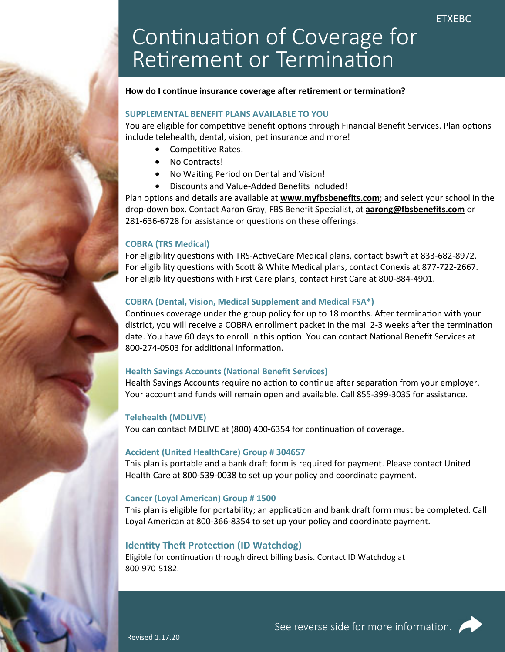# Continuation of Coverage for Retirement or Termination

## How do I continue insurance coverage after retirement or termination?

## **SUPPLEMENTAL BENEFIT PLANS AVAILABLE TO YOU**

You are eligible for competitive benefit options through Financial Benefit Services. Plan options include telehealth, dental, vision, pet insurance and more!

- Competitive Rates!
- No Contracts!
- No Waiting Period on Dental and Vision!
- Discounts and Value-Added Benefits included!

Plan options and details are available at **www.myfbsbenefits.com**; and select your school in the drop‐down box. Contact Aaron Gray, FBS Benefit Specialist, at **aarong@fbsbenefits.com** or 281‐636‐6728 for assistance or questions on these offerings.

## **COBRA (TRS Medical)**

For eligibility questions with TRS-ActiveCare Medical plans, contact bswift at 833-682-8972. For eligibility questions with Scott & White Medical plans, contact Conexis at 877-722-2667. For eligibility questions with First Care plans, contact First Care at 800-884-4901.

## **COBRA (Dental, Vision, Medical Supplement and Medical FSA\*)**

Continues coverage under the group policy for up to 18 months. After termination with your district, you will receive a COBRA enrollment packet in the mail 2-3 weeks after the termination date. You have 60 days to enroll in this option. You can contact National Benefit Services at 800-274-0503 for additional information.

## **Health Savings Accounts (National Benefit Services)**

Health Savings Accounts require no action to continue after separation from your employer. Your account and funds will remain open and available. Call 855‐399‐3035 for assistance.

## **Telehealth (MDLIVE)**

You can contact MDLIVE at (800) 400-6354 for continuation of coverage.

## **Accident (United HealthCare) Group # 304657**

This plan is portable and a bank draft form is required for payment. Please contact United Health Care at 800‐539‐0038 to set up your policy and coordinate payment.

# **Cancer (Loyal American) Group # 1500**

This plan is eligible for portability; an application and bank draft form must be completed. Call Loyal American at 800‐366‐8354 to set up your policy and coordinate payment.

# **Identity Theft Protection (ID Watchdog)**

Eligible for continuation through direct billing basis. Contact ID Watchdog at 800‐970‐5182.

Revised 1.17.20